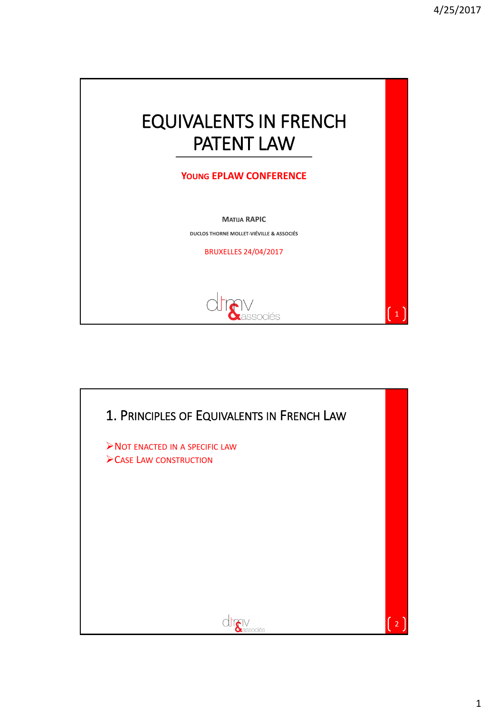

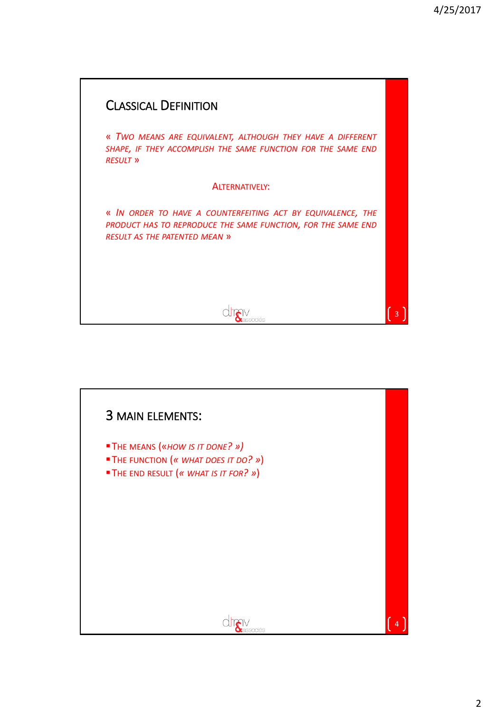

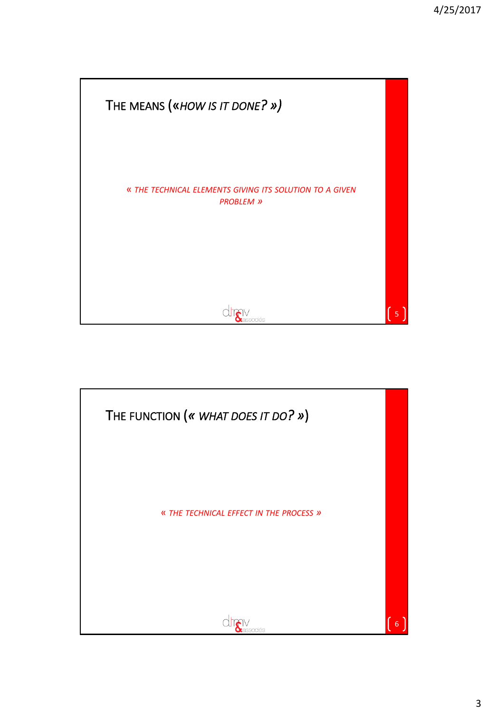